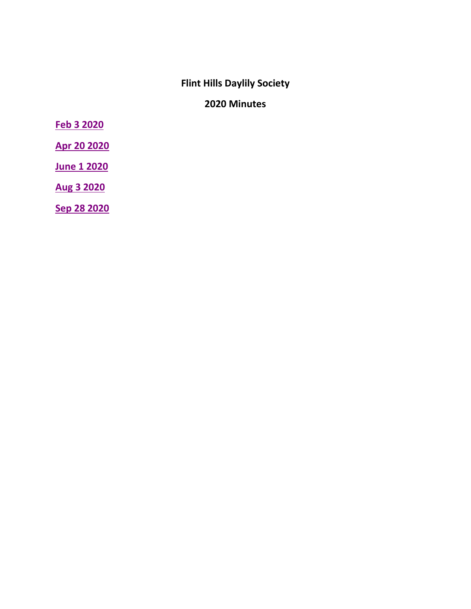# **Flint Hills Daylily Society**

## **2020 Minutes**

<span id="page-0-0"></span>**[Feb 3](#page-1-0) 2020**

**[Apr 20](#page-3-0) 2020**

**[June 1](#page-4-0) 2020**

**Aug 3 [2020](#page-9-0)**

**[Sep 28 2020](#page-10-0)**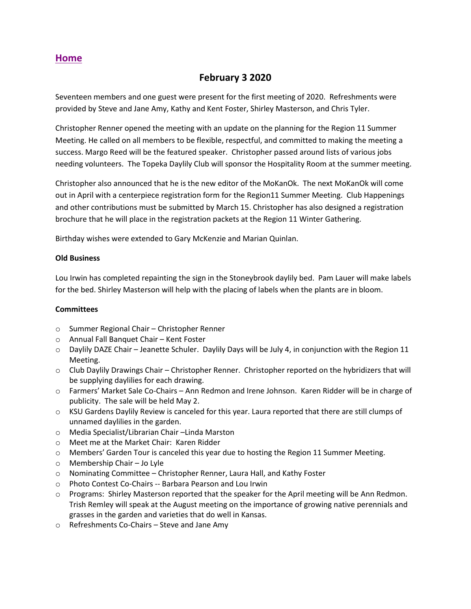## **February 3 2020**

<span id="page-1-0"></span>Seventeen members and one guest were present for the first meeting of 2020. Refreshments were provided by Steve and Jane Amy, Kathy and Kent Foster, Shirley Masterson, and Chris Tyler.

Christopher Renner opened the meeting with an update on the planning for the Region 11 Summer Meeting. He called on all members to be flexible, respectful, and committed to making the meeting a success. Margo Reed will be the featured speaker. Christopher passed around lists of various jobs needing volunteers. The Topeka Daylily Club will sponsor the Hospitality Room at the summer meeting.

Christopher also announced that he is the new editor of the MoKanOk. The next MoKanOk will come out in April with a centerpiece registration form for the Region11 Summer Meeting. Club Happenings and other contributions must be submitted by March 15. Christopher has also designed a registration brochure that he will place in the registration packets at the Region 11 Winter Gathering.

Birthday wishes were extended to Gary McKenzie and Marian Quinlan.

#### **Old Business**

Lou Irwin has completed repainting the sign in the Stoneybrook daylily bed. Pam Lauer will make labels for the bed. Shirley Masterson will help with the placing of labels when the plants are in bloom.

#### **Committees**

- o Summer Regional Chair Christopher Renner
- o Annual Fall Banquet Chair Kent Foster
- $\circ$  Daylily DAZE Chair Jeanette Schuler. Daylily Days will be July 4, in conjunction with the Region 11 Meeting.
- o Club Daylily Drawings Chair Christopher Renner. Christopher reported on the hybridizers that will be supplying daylilies for each drawing.
- o Farmers' Market Sale Co-Chairs Ann Redmon and Irene Johnson. Karen Ridder will be in charge of publicity. The sale will be held May 2.
- $\circ$  KSU Gardens Daylily Review is canceled for this year. Laura reported that there are still clumps of unnamed daylilies in the garden.
- o Media Specialist/Librarian Chair –Linda Marston
- o Meet me at the Market Chair: Karen Ridder
- o Members' Garden Tour is canceled this year due to hosting the Region 11 Summer Meeting.
- o Membership Chair Jo Lyle
- o Nominating Committee Christopher Renner, Laura Hall, and Kathy Foster
- o Photo Contest Co-Chairs -- Barbara Pearson and Lou Irwin
- o Programs: Shirley Masterson reported that the speaker for the April meeting will be Ann Redmon. Trish Remley will speak at the August meeting on the importance of growing native perennials and grasses in the garden and varieties that do well in Kansas.
- o Refreshments Co-Chairs Steve and Jane Amy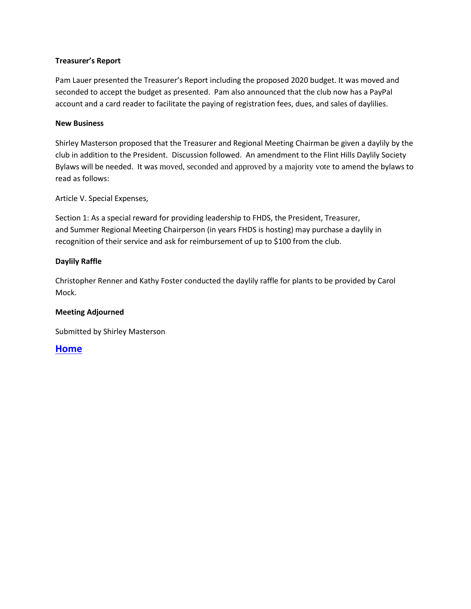#### **Treasurer's Report**

Pam Lauer presented the Treasurer's Report including the proposed 2020 budget. It was moved and seconded to accept the budget as presented. Pam also announced that the club now has a PayPal account and a card reader to facilitate the paying of registration fees, dues, and sales of daylilies.

#### **New Business**

Shirley Masterson proposed that the Treasurer and Regional Meeting Chairman be given a daylily by the club in addition to the President. Discussion followed. An amendment to the Flint Hills Daylily Society Bylaws will be needed. It was moved, seconded and approved by a majority vote to amend the bylaws to read as follows:

Article V. Special Expenses,

Section 1: As a special reward for providing leadership to FHDS, the President, Treasurer, and Summer Regional Meeting Chairperson (in years FHDS is hosting) may purchase a daylily in recognition of their service and ask for reimbursement of up to \$100 from the club.

#### **Daylily Raffle**

Christopher Renner and Kathy Foster conducted the daylily raffle for plants to be provided by Carol Mock.

#### **Meeting Adjourned**

Submitted by Shirley Masterson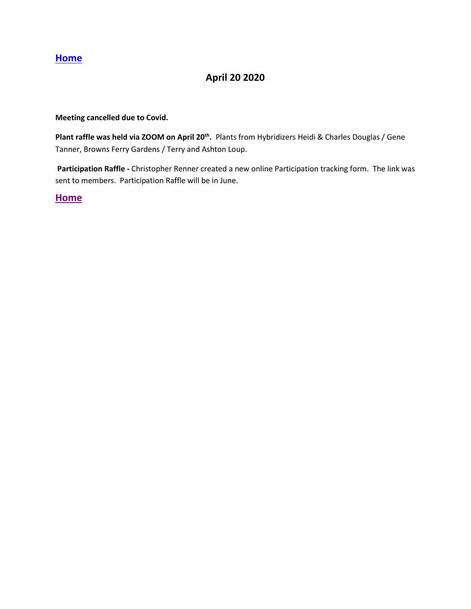## **April 20 2020**

#### <span id="page-3-0"></span>**Meeting cancelled due to Covid.**

Plant raffle was held via ZOOM on April 20<sup>th</sup>. Plants from Hybridizers Heidi & Charles Douglas / Gene Tanner, Browns Ferry Gardens / Terry and Ashton Loup.

**Participation Raffle -** Christopher Renner created a new online Participation tracking form. The link was sent to members. Participation Raffle will be in June.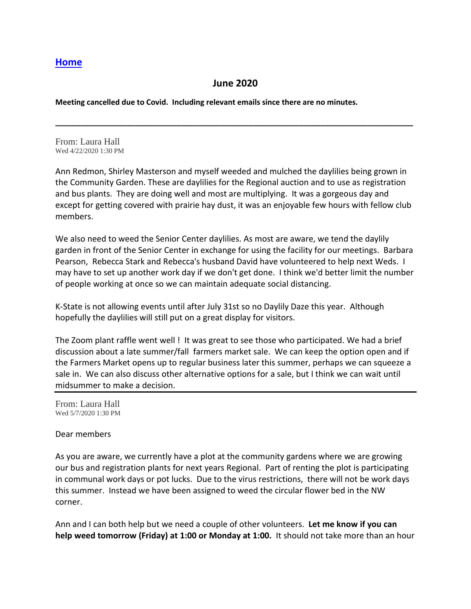## **June 2020**

**\_\_\_\_\_\_\_\_\_\_\_\_\_\_\_\_\_\_\_\_\_\_\_\_\_\_\_\_\_\_\_\_\_\_\_\_\_\_\_\_\_\_\_\_\_\_\_\_\_\_\_\_\_\_\_\_\_\_\_\_\_\_\_\_\_\_\_\_\_\_\_\_\_\_\_\_\_\_\_\_\_\_\_\_\_**

<span id="page-4-0"></span>**Meeting cancelled due to Covid. Including relevant emails since there are no minutes.**

From: Laura Hall Wed 4/22/2020 1:30 PM

Ann Redmon, Shirley Masterson and myself weeded and mulched the daylilies being grown in the Community Garden. These are daylilies for the Regional auction and to use as registration and bus plants. They are doing well and most are multiplying. It was a gorgeous day and except for getting covered with prairie hay dust, it was an enjoyable few hours with fellow club members.

We also need to weed the Senior Center daylilies. As most are aware, we tend the daylily garden in front of the Senior Center in exchange for using the facility for our meetings. Barbara Pearson, Rebecca Stark and Rebecca's husband David have volunteered to help next Weds. I may have to set up another work day if we don't get done. I think we'd better limit the number of people working at once so we can maintain adequate social distancing.

K-State is not allowing events until after July 31st so no Daylily Daze this year. Although hopefully the daylilies will still put on a great display for visitors.

The Zoom plant raffle went well ! It was great to see those who participated. We had a brief discussion about a late summer/fall farmers market sale. We can keep the option open and if the Farmers Market opens up to regular business later this summer, perhaps we can squeeze a sale in. We can also discuss other alternative options for a sale, but I think we can wait until midsummer to make a decision.

From: Laura Hall Wed 5/7/2020 1:30 PM

#### Dear members

As you are aware, we currently have a plot at the community gardens where we are growing our bus and registration plants for next years Regional. Part of renting the plot is participating in communal work days or pot lucks. Due to the virus restrictions, there will not be work days this summer. Instead we have been assigned to weed the circular flower bed in the NW corner.

Ann and I can both help but we need a couple of other volunteers. **Let me know if you can help weed tomorrow (Friday) at 1:00 or Monday at 1:00.** It should not take more than an hour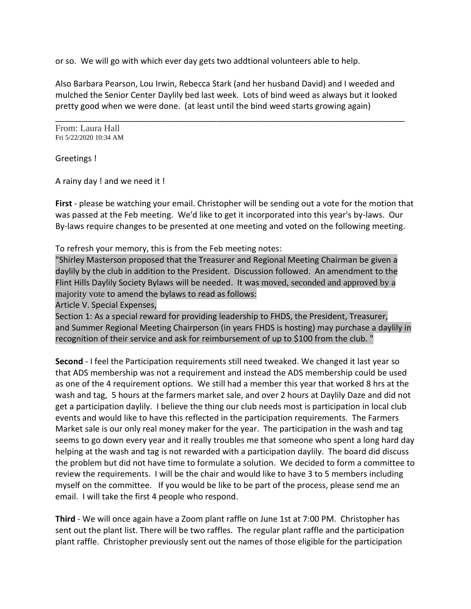or so. We will go with which ever day gets two addtional volunteers able to help.

Also Barbara Pearson, Lou Irwin, Rebecca Stark (and her husband David) and I weeded and mulched the Senior Center Daylily bed last week. Lots of bind weed as always but it looked pretty good when we were done. (at least until the bind weed starts growing again)

\_\_\_\_\_\_\_\_\_\_\_\_\_\_\_\_\_\_\_\_\_\_\_\_\_\_\_\_\_\_\_\_\_\_\_\_\_\_\_\_\_\_\_\_\_\_\_\_\_\_\_\_\_\_\_\_\_\_\_\_\_\_\_\_\_\_\_\_\_\_\_\_\_\_\_\_

From: Laura Hall Fri 5/22/2020 10:34 AM

Greetings !

A rainy day ! and we need it !

**First** - please be watching your email. Christopher will be sending out a vote for the motion that was passed at the Feb meeting. We'd like to get it incorporated into this year's by-laws. Our By-laws require changes to be presented at one meeting and voted on the following meeting.

To refresh your memory, this is from the Feb meeting notes:

"Shirley Masterson proposed that the Treasurer and Regional Meeting Chairman be given a daylily by the club in addition to the President. Discussion followed. An amendment to the Flint Hills Daylily Society Bylaws will be needed. It was moved, seconded and approved by a majority vote to amend the bylaws to read as follows:

Article V. Special Expenses,

Section 1: As a special reward for providing leadership to FHDS, the President, Treasurer, and Summer Regional Meeting Chairperson (in years FHDS is hosting) may purchase a daylily in recognition of their service and ask for reimbursement of up to \$100 from the club. "

**Second** - I feel the Participation requirements still need tweaked. We changed it last year so that ADS membership was not a requirement and instead the ADS membership could be used as one of the 4 requirement options. We still had a member this year that worked 8 hrs at the wash and tag, 5 hours at the farmers market sale, and over 2 hours at Daylily Daze and did not get a participation daylily. I believe the thing our club needs most is participation in local club events and would like to have this reflected in the participation requirements. The Farmers Market sale is our only real money maker for the year. The participation in the wash and tag seems to go down every year and it really troubles me that someone who spent a long hard day helping at the wash and tag is not rewarded with a participation daylily. The board did discuss the problem but did not have time to formulate a solution. We decided to form a committee to review the requirements. I will be the chair and would like to have 3 to 5 members including myself on the committee. If you would be like to be part of the process, please send me an email. I will take the first 4 people who respond.

**Third** - We will once again have a Zoom plant raffle on June 1st at 7:00 PM. Christopher has sent out the plant list. There will be two raffles. The regular plant raffle and the participation plant raffle. Christopher previously sent out the names of those eligible for the participation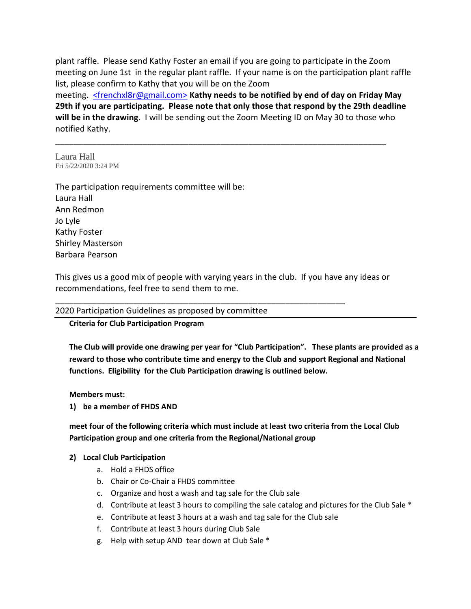plant raffle. Please send Kathy Foster an email if you are going to participate in the Zoom meeting on June 1st in the regular plant raffle. If your name is on the participation plant raffle list, please confirm to Kathy that you will be on the Zoom meeting. [<frenchxl8r@gmail.com>](https://outlook.live.com/mail/0/frenchxl8r@gmail.com) **Kathy needs to be notified by end of day on Friday May 29th if you are participating. Please note that only those that respond by the 29th deadline will be in the drawing**. I will be sending out the Zoom Meeting ID on May 30 to those who

\_\_\_\_\_\_\_\_\_\_\_\_\_\_\_\_\_\_\_\_\_\_\_\_\_\_\_\_\_\_\_\_\_\_\_\_\_\_\_\_\_\_\_\_\_\_\_\_\_\_\_\_\_\_\_\_\_\_\_\_\_\_\_\_\_\_\_\_\_\_\_\_

notified Kathy.

Laura Hall Fri 5/22/2020 3:24 PM

The participation requirements committee will be: Laura Hall Ann Redmon Jo Lyle Kathy Foster Shirley Masterson Barbara Pearson

This gives us a good mix of people with varying years in the club. If you have any ideas or recommendations, feel free to send them to me.

\_\_\_\_\_\_\_\_\_\_\_\_\_\_\_\_\_\_\_\_\_\_\_\_\_\_\_\_\_\_\_\_\_\_\_\_\_\_\_\_\_\_\_\_\_\_\_\_\_\_\_\_\_\_\_\_\_\_\_\_\_\_\_

#### 2020 Participation Guidelines as proposed by committee

#### **Criteria for Club Participation Program**

**The Club will provide one drawing per year for "Club Participation". These plants are provided as a reward to those who contribute time and energy to the Club and support Regional and National functions. Eligibility for the Club Participation drawing is outlined below.**

#### **Members must:**

**1) be a member of FHDS AND**

### **meet four of the following criteria which must include at least two criteria from the Local Club Participation group and one criteria from the Regional/National group**

#### **2) Local Club Participation**

- a. Hold a FHDS office
- b. Chair or Co-Chair a FHDS committee
- c. Organize and host a wash and tag sale for the Club sale
- d. Contribute at least 3 hours to compiling the sale catalog and pictures for the Club Sale \*
- e. Contribute at least 3 hours at a wash and tag sale for the Club sale
- f. Contribute at least 3 hours during Club Sale
- g. Help with setup AND tear down at Club Sale \*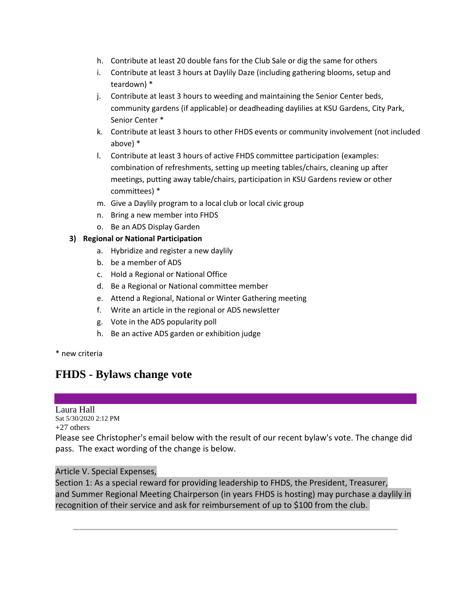- h. Contribute at least 20 double fans for the Club Sale or dig the same for others
- i. Contribute at least 3 hours at Daylily Daze (including gathering blooms, setup and teardown) \*
- j. Contribute at least 3 hours to weeding and maintaining the Senior Center beds, community gardens (if applicable) or deadheading daylilies at KSU Gardens, City Park, Senior Center \*
- k. Contribute at least 3 hours to other FHDS events or community involvement (not included above) \*
- l. Contribute at least 3 hours of active FHDS committee participation (examples: combination of refreshments, setting up meeting tables/chairs, cleaning up after meetings, putting away table/chairs, participation in KSU Gardens review or other committees) \*
- m. Give a Daylily program to a local club or local civic group
- n. Bring a new member into FHDS
- o. Be an ADS Display Garden

### **3) Regional or National Participation**

- a. Hybridize and register a new daylily
- b. be a member of ADS
- c. Hold a Regional or National Office
- d. Be a Regional or National committee member
- e. Attend a Regional, National or Winter Gathering meeting
- f. Write an article in the regional or ADS newsletter
- g. Vote in the ADS popularity poll
- h. Be an active ADS garden or exhibition judge

\* new criteria

## **FHDS - Bylaws change vote**

Laura Hall Sat 5/30/2020 2:12 PM +27 others

Please see Christopher's email below with the result of our recent bylaw's vote. The change did pass. The exact wording of the change is below.

#### Article V. Special Expenses,

Section 1: As a special reward for providing leadership to FHDS, the President, Treasurer, and Summer Regional Meeting Chairperson (in years FHDS is hosting) may purchase a daylily in recognition of their service and ask for reimbursement of up to \$100 from the club.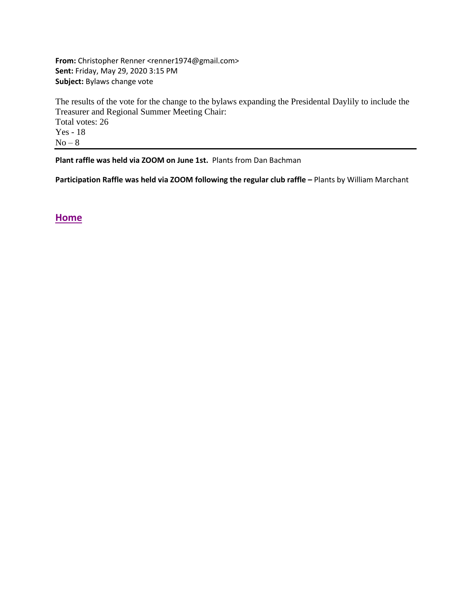**From:** Christopher Renner <renner1974@gmail.com> **Sent:** Friday, May 29, 2020 3:15 PM **Subject:** Bylaws change vote

The results of the vote for the change to the bylaws expanding the Presidental Daylily to include the Treasurer and Regional Summer Meeting Chair: Total votes: 26 Yes - 18  $No-8$ 

**Plant raffle was held via ZOOM on June 1st.** Plants from Dan Bachman

**Participation Raffle was held via ZOOM following the regular club raffle –** Plants by William Marchant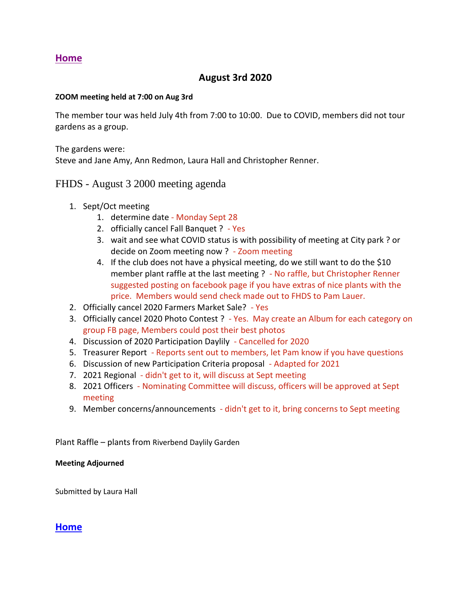## **August 3rd 2020**

#### <span id="page-9-0"></span>**ZOOM meeting held at 7:00 on Aug 3rd**

The member tour was held July 4th from 7:00 to 10:00. Due to COVID, members did not tour gardens as a group.

The gardens were:

Steve and Jane Amy, Ann Redmon, Laura Hall and Christopher Renner.

## FHDS - August 3 2000 meeting agenda

- 1. Sept/Oct meeting
	- 1. determine date Monday Sept 28
	- 2. officially cancel Fall Banquet ? Yes
	- 3. wait and see what COVID status is with possibility of meeting at City park ? or decide on Zoom meeting now ? - Zoom meeting
	- 4. If the club does not have a physical meeting, do we still want to do the \$10 member plant raffle at the last meeting ? - No raffle, but Christopher Renner suggested posting on facebook page if you have extras of nice plants with the price. Members would send check made out to FHDS to Pam Lauer.
- 2. Officially cancel 2020 Farmers Market Sale? Yes
- 3. Officially cancel 2020 Photo Contest ? Yes. May create an Album for each category on group FB page, Members could post their best photos
- 4. Discussion of 2020 Participation Daylily Cancelled for 2020
- 5. Treasurer Report Reports sent out to members, let Pam know if you have questions
- 6. Discussion of new Participation Criteria proposal Adapted for 2021
- 7. 2021 Regional didn't get to it, will discuss at Sept meeting
- 8. 2021 Officers Nominating Committee will discuss, officers will be approved at Sept meeting
- 9. Member concerns/announcements didn't get to it, bring concerns to Sept meeting

Plant Raffle – plants from Riverbend Daylily Garden

#### **Meeting Adjourned**

Submitted by Laura Hall